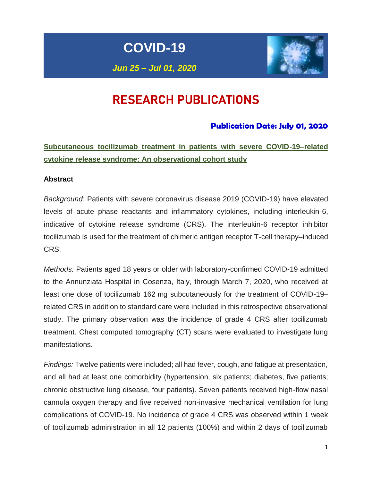**COVID-19**



# RESEARCH PUBLICATIONS

# **Publication Date: July 01, 2020**

**Subcutaneous tocilizumab treatment in patients with severe COVID-19–related cytokine release syndrome: An observational cohort study**

### **Abstract**

*Background*: Patients with severe coronavirus disease 2019 (COVID-19) have elevated levels of acute phase reactants and inflammatory cytokines, including interleukin-6, indicative of cytokine release syndrome (CRS). The interleukin-6 receptor inhibitor tocilizumab is used for the treatment of chimeric antigen receptor T-cell therapy–induced CRS.

*Methods:* Patients aged 18 years or older with laboratory-confirmed COVID-19 admitted to the Annunziata Hospital in Cosenza, Italy, through March 7, 2020, who received at least one dose of tocilizumab 162 mg subcutaneously for the treatment of COVID-19– related CRS in addition to standard care were included in this retrospective observational study. The primary observation was the incidence of grade 4 CRS after tocilizumab treatment. Chest computed tomography (CT) scans were evaluated to investigate lung manifestations.

*Findings:* Twelve patients were included; all had fever, cough, and fatigue at presentation, and all had at least one comorbidity (hypertension, six patients; diabetes, five patients; chronic obstructive lung disease, four patients). Seven patients received high-flow nasal cannula oxygen therapy and five received non-invasive mechanical ventilation for lung complications of COVID-19. No incidence of grade 4 CRS was observed within 1 week of tocilizumab administration in all 12 patients (100%) and within 2 days of tocilizumab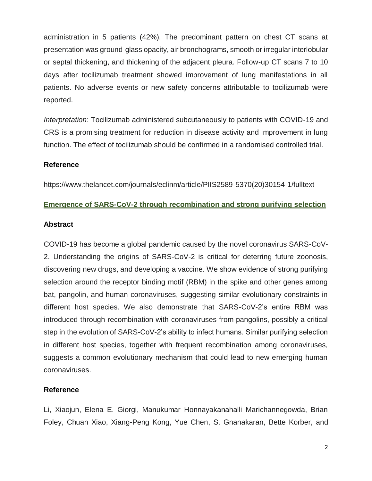administration in 5 patients (42%). The predominant pattern on chest CT scans at presentation was ground-glass opacity, air bronchograms, smooth or irregular interlobular or septal thickening, and thickening of the adjacent pleura. Follow-up CT scans 7 to 10 days after tocilizumab treatment showed improvement of lung manifestations in all patients. No adverse events or new safety concerns attributable to tocilizumab were reported.

*Interpretation*: Tocilizumab administered subcutaneously to patients with COVID-19 and CRS is a promising treatment for reduction in disease activity and improvement in lung function. The effect of tocilizumab should be confirmed in a randomised controlled trial.

### **Reference**

https://www.thelancet.com/journals/eclinm/article/PIIS2589-5370(20)30154-1/fulltext

### **Emergence of SARS-CoV-2 through recombination and strong purifying selection**

#### **Abstract**

COVID-19 has become a global pandemic caused by the novel coronavirus SARS-CoV-2. Understanding the origins of SARS-CoV-2 is critical for deterring future zoonosis, discovering new drugs, and developing a vaccine. We show evidence of strong purifying selection around the receptor binding motif (RBM) in the spike and other genes among bat, pangolin, and human coronaviruses, suggesting similar evolutionary constraints in different host species. We also demonstrate that SARS-CoV-2's entire RBM was introduced through recombination with coronaviruses from pangolins, possibly a critical step in the evolution of SARS-CoV-2's ability to infect humans. Similar purifying selection in different host species, together with frequent recombination among coronaviruses, suggests a common evolutionary mechanism that could lead to new emerging human coronaviruses.

### **Reference**

Li, Xiaojun, Elena E. Giorgi, Manukumar Honnayakanahalli Marichannegowda, Brian Foley, Chuan Xiao, Xiang-Peng Kong, Yue Chen, S. Gnanakaran, Bette Korber, and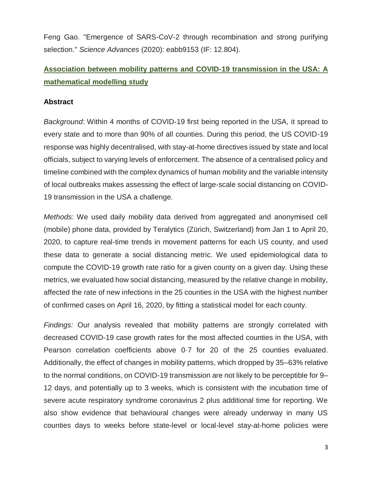Feng Gao. "Emergence of SARS-CoV-2 through recombination and strong purifying selection." *Science Advances* (2020): eabb9153 (IF: 12.804).

# **Association between mobility patterns and COVID-19 transmission in the USA: A mathematical modelling study**

### **Abstract**

*Background*: Within 4 months of COVID-19 first being reported in the USA, it spread to every state and to more than 90% of all counties. During this period, the US COVID-19 response was highly decentralised, with stay-at-home directives issued by state and local officials, subject to varying levels of enforcement. The absence of a centralised policy and timeline combined with the complex dynamics of human mobility and the variable intensity of local outbreaks makes assessing the effect of large-scale social distancing on COVID-19 transmission in the USA a challenge.

*Methods*: We used daily mobility data derived from aggregated and anonymised cell (mobile) phone data, provided by Teralytics (Zürich, Switzerland) from Jan 1 to April 20, 2020, to capture real-time trends in movement patterns for each US county, and used these data to generate a social distancing metric. We used epidemiological data to compute the COVID-19 growth rate ratio for a given county on a given day. Using these metrics, we evaluated how social distancing, measured by the relative change in mobility, affected the rate of new infections in the 25 counties in the USA with the highest number of confirmed cases on April 16, 2020, by fitting a statistical model for each county.

*Findings:* Our analysis revealed that mobility patterns are strongly correlated with decreased COVID-19 case growth rates for the most affected counties in the USA, with Pearson correlation coefficients above 0·7 for 20 of the 25 counties evaluated. Additionally, the effect of changes in mobility patterns, which dropped by 35–63% relative to the normal conditions, on COVID-19 transmission are not likely to be perceptible for 9– 12 days, and potentially up to 3 weeks, which is consistent with the incubation time of severe acute respiratory syndrome coronavirus 2 plus additional time for reporting. We also show evidence that behavioural changes were already underway in many US counties days to weeks before state-level or local-level stay-at-home policies were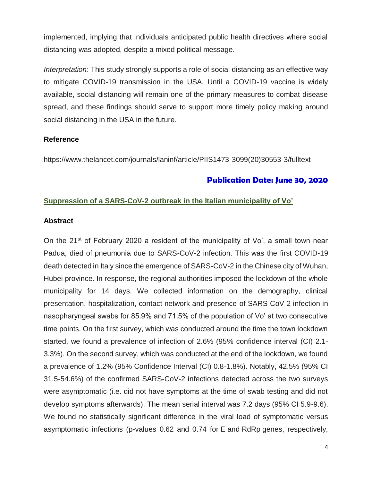implemented, implying that individuals anticipated public health directives where social distancing was adopted, despite a mixed political message.

*Interpretation*: This study strongly supports a role of social distancing as an effective way to mitigate COVID-19 transmission in the USA. Until a COVID-19 vaccine is widely available, social distancing will remain one of the primary measures to combat disease spread, and these findings should serve to support more timely policy making around social distancing in the USA in the future.

## **Reference**

https://www.thelancet.com/journals/laninf/article/PIIS1473-3099(20)30553-3/fulltext

# **Publication Date: June 30, 2020**

### **Suppression of a SARS-CoV-2 outbreak in the Italian municipality of Vo'**

### **Abstract**

On the 21<sup>st</sup> of February 2020 a resident of the municipality of Vo', a small town near Padua, died of pneumonia due to SARS-CoV-2 infection. This was the first COVID-19 death detected in Italy since the emergence of SARS-CoV-2 in the Chinese city of Wuhan, Hubei province. In response, the regional authorities imposed the lockdown of the whole municipality for 14 days. We collected information on the demography, clinical presentation, hospitalization, contact network and presence of SARS-CoV-2 infection in nasopharyngeal swabs for 85.9% and 71.5% of the population of Vo' at two consecutive time points. On the first survey, which was conducted around the time the town lockdown started, we found a prevalence of infection of 2.6% (95% confidence interval (CI) 2.1- 3.3%). On the second survey, which was conducted at the end of the lockdown, we found a prevalence of 1.2% (95% Confidence Interval (CI) 0.8-1.8%). Notably, 42.5% (95% CI 31.5-54.6%) of the confirmed SARS-CoV-2 infections detected across the two surveys were asymptomatic (i.e. did not have symptoms at the time of swab testing and did not develop symptoms afterwards). The mean serial interval was 7.2 days (95% CI 5.9-9.6). We found no statistically significant difference in the viral load of symptomatic versus asymptomatic infections (p-values 0.62 and 0.74 for E and RdRp genes, respectively,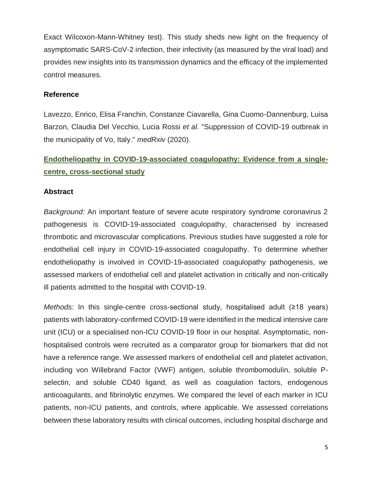Exact Wilcoxon-Mann-Whitney test). This study sheds new light on the frequency of asymptomatic SARS-CoV-2 infection, their infectivity (as measured by the viral load) and provides new insights into its transmission dynamics and the efficacy of the implemented control measures.

## **Reference**

Lavezzo, Enrico, Elisa Franchin, Constanze Ciavarella, Gina Cuomo-Dannenburg, Luisa Barzon, Claudia Del Vecchio, Lucia Rossi *et al*. "Suppression of COVID-19 outbreak in the municipality of Vo, Italy." *medRxiv* (2020).

# **Endotheliopathy in COVID-19-associated coagulopathy: Evidence from a singlecentre, cross-sectional study**

## **Abstract**

*Background:* An important feature of severe acute respiratory syndrome coronavirus 2 pathogenesis is COVID-19-associated coagulopathy, characterised by increased thrombotic and microvascular complications. Previous studies have suggested a role for endothelial cell injury in COVID-19-associated coagulopathy. To determine whether endotheliopathy is involved in COVID-19-associated coagulopathy pathogenesis, we assessed markers of endothelial cell and platelet activation in critically and non-critically ill patients admitted to the hospital with COVID-19.

*Methods*: In this single-centre cross-sectional study, hospitalised adult (≥18 years) patients with laboratory-confirmed COVID-19 were identified in the medical intensive care unit (ICU) or a specialised non-ICU COVID-19 floor in our hospital. Asymptomatic, nonhospitalised controls were recruited as a comparator group for biomarkers that did not have a reference range. We assessed markers of endothelial cell and platelet activation, including von Willebrand Factor (VWF) antigen, soluble thrombomodulin, soluble Pselectin, and soluble CD40 ligand, as well as coagulation factors, endogenous anticoagulants, and fibrinolytic enzymes. We compared the level of each marker in ICU patients, non-ICU patients, and controls, where applicable. We assessed correlations between these laboratory results with clinical outcomes, including hospital discharge and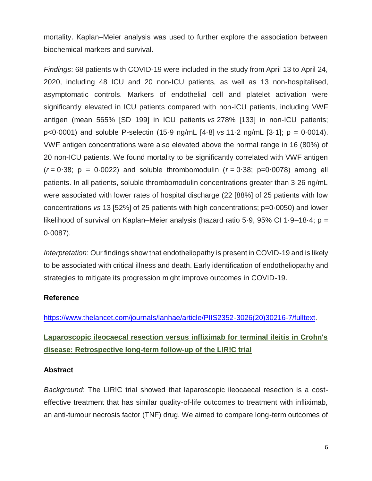mortality. Kaplan–Meier analysis was used to further explore the association between biochemical markers and survival.

*Findings*: 68 patients with COVID-19 were included in the study from April 13 to April 24, 2020, including 48 ICU and 20 non-ICU patients, as well as 13 non-hospitalised, asymptomatic controls. Markers of endothelial cell and platelet activation were significantly elevated in ICU patients compared with non-ICU patients, including VWF antigen (mean 565% [SD 199] in ICU patients *vs* 278% [133] in non-ICU patients; p<0·0001) and soluble P-selectin (15·9 ng/mL [4·8] *vs* 11·2 ng/mL [3·1]; p = 0·0014). VWF antigen concentrations were also elevated above the normal range in 16 (80%) of 20 non-ICU patients. We found mortality to be significantly correlated with VWF antigen  $(r = 0.38; p = 0.0022)$  and soluble thrombomodulin  $(r = 0.38; p = 0.0078)$  among all patients. In all patients, soluble thrombomodulin concentrations greater than 3·26 ng/mL were associated with lower rates of hospital discharge (22 [88%] of 25 patients with low concentrations *vs* 13 [52%] of 25 patients with high concentrations; p=0·0050) and lower likelihood of survival on Kaplan–Meier analysis (hazard ratio 5·9, 95% CI 1·9–18·4; p = 0·0087).

*Interpretation*: Our findings show that endotheliopathy is present in COVID-19 and is likely to be associated with critical illness and death. Early identification of endotheliopathy and strategies to mitigate its progression might improve outcomes in COVID-19.

### **Reference**

[https://www.thelancet.com/journals/lanhae/article/PIIS2352-3026\(20\)30216-7/fulltext.](https://www.thelancet.com/journals/lanhae/article/PIIS2352-3026(20)30216-7/fulltext)

# **Laparoscopic ileocaecal resection versus infliximab for terminal ileitis in Crohn's disease: Retrospective long-term follow-up of the LIR!C trial**

#### **Abstract**

*Background*: The LIR!C trial showed that laparoscopic ileocaecal resection is a costeffective treatment that has similar quality-of-life outcomes to treatment with infliximab, an anti-tumour necrosis factor (TNF) drug. We aimed to compare long-term outcomes of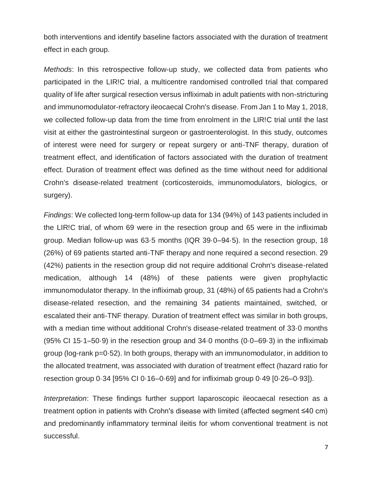both interventions and identify baseline factors associated with the duration of treatment effect in each group.

*Methods*: In this retrospective follow-up study, we collected data from patients who participated in the LIR!C trial, a multicentre randomised controlled trial that compared quality of life after surgical resection versus infliximab in adult patients with non-stricturing and immunomodulator-refractory ileocaecal Crohn's disease. From Jan 1 to May 1, 2018, we collected follow-up data from the time from enrolment in the LIR!C trial until the last visit at either the gastrointestinal surgeon or gastroenterologist. In this study, outcomes of interest were need for surgery or repeat surgery or anti-TNF therapy, duration of treatment effect, and identification of factors associated with the duration of treatment effect. Duration of treatment effect was defined as the time without need for additional Crohn's disease-related treatment (corticosteroids, immunomodulators, biologics, or surgery).

*Findings*: We collected long-term follow-up data for 134 (94%) of 143 patients included in the LIR!C trial, of whom 69 were in the resection group and 65 were in the infliximab group. Median follow-up was 63·5 months (IQR 39·0–94·5). In the resection group, 18 (26%) of 69 patients started anti-TNF therapy and none required a second resection. 29 (42%) patients in the resection group did not require additional Crohn's disease-related medication, although 14 (48%) of these patients were given prophylactic immunomodulator therapy. In the infliximab group, 31 (48%) of 65 patients had a Crohn's disease-related resection, and the remaining 34 patients maintained, switched, or escalated their anti-TNF therapy. Duration of treatment effect was similar in both groups, with a median time without additional Crohn's disease-related treatment of 33·0 months (95% CI 15·1–50·9) in the resection group and 34·0 months (0·0–69·3) in the infliximab group (log-rank p=0·52). In both groups, therapy with an immunomodulator, in addition to the allocated treatment, was associated with duration of treatment effect (hazard ratio for resection group 0·34 [95% CI 0·16–0·69] and for infliximab group 0·49 [0·26–0·93]).

*Interpretation*: These findings further support laparoscopic ileocaecal resection as a treatment option in patients with Crohn's disease with limited (affected segment ≤40 cm) and predominantly inflammatory terminal ileitis for whom conventional treatment is not successful.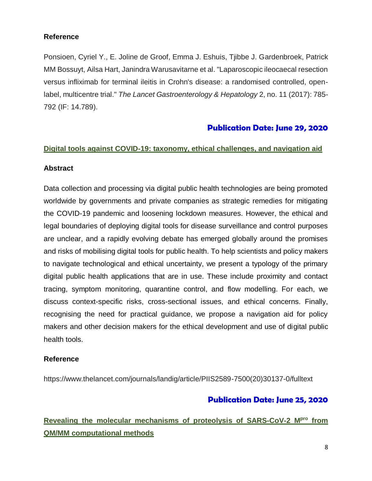## **Reference**

Ponsioen, Cyriel Y., E. Joline de Groof, Emma J. Eshuis, Tjibbe J. Gardenbroek, Patrick MM Bossuyt, Ailsa Hart, Janindra Warusavitarne et al. "Laparoscopic ileocaecal resection versus infliximab for terminal ileitis in Crohn's disease: a randomised controlled, openlabel, multicentre trial." *The Lancet Gastroenterology & Hepatology* 2, no. 11 (2017): 785- 792 (IF: 14.789).

# **Publication Date: June 29, 2020**

### **Digital tools against COVID-19: taxonomy, ethical challenges, and navigation aid**

### **Abstract**

Data collection and processing via digital public health technologies are being promoted worldwide by governments and private companies as strategic remedies for mitigating the COVID-19 pandemic and loosening lockdown measures. However, the ethical and legal boundaries of deploying digital tools for disease surveillance and control purposes are unclear, and a rapidly evolving debate has emerged globally around the promises and risks of mobilising digital tools for public health. To help scientists and policy makers to navigate technological and ethical uncertainty, we present a typology of the primary digital public health applications that are in use. These include proximity and contact tracing, symptom monitoring, quarantine control, and flow modelling. For each, we discuss context-specific risks, cross-sectional issues, and ethical concerns. Finally, recognising the need for practical guidance, we propose a navigation aid for policy makers and other decision makers for the ethical development and use of digital public health tools.

### **Reference**

https://www.thelancet.com/journals/landig/article/PIIS2589-7500(20)30137-0/fulltext

# **Publication Date: June 25, 2020**

# **Revealing the molecular mechanisms of proteolysis of SARS-CoV-2 Mpro from QM/MM computational methods**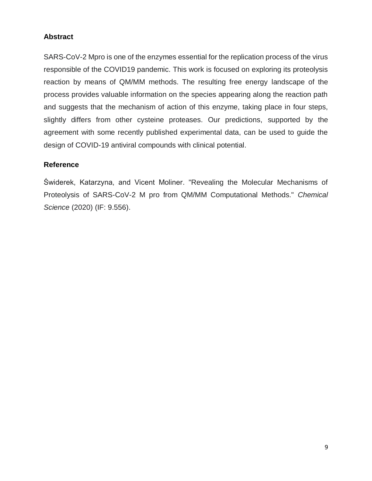## **Abstract**

SARS-CoV-2 Mpro is one of the enzymes essential for the replication process of the virus responsible of the COVID19 pandemic. This work is focused on exploring its proteolysis reaction by means of QM/MM methods. The resulting free energy landscape of the process provides valuable information on the species appearing along the reaction path and suggests that the mechanism of action of this enzyme, taking place in four steps, slightly differs from other cysteine proteases. Our predictions, supported by the agreement with some recently published experimental data, can be used to guide the design of COVID-19 antiviral compounds with clinical potential.

## **Reference**

Świderek, Katarzyna, and Vicent Moliner. "Revealing the Molecular Mechanisms of Proteolysis of SARS-CoV-2 M pro from QM/MM Computational Methods." *Chemical Science* (2020) (IF: 9.556).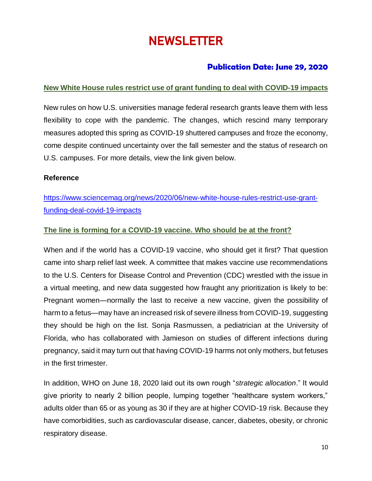# **NEWSLETTER**

# **Publication Date: June 29, 2020**

# **New White House rules restrict use of grant funding to deal with COVID-19 impacts**

New rules on how U.S. universities manage federal research grants leave them with less flexibility to cope with the pandemic. The changes, which rescind many temporary measures adopted this spring as COVID-19 shuttered campuses and froze the economy, come despite continued uncertainty over the fall semester and the status of research on U.S. campuses. For more details, view the link given below.

## **Reference**

[https://www.sciencemag.org/news/2020/06/new-white-house-rules-restrict-use-grant](https://www.sciencemag.org/news/2020/06/new-white-house-rules-restrict-use-grant-funding-deal-covid-19-impacts)[funding-deal-covid-19-impacts](https://www.sciencemag.org/news/2020/06/new-white-house-rules-restrict-use-grant-funding-deal-covid-19-impacts)

# **The line is forming for a COVID-19 vaccine. Who should be at the front?**

When and if the world has a COVID-19 vaccine, who should get it first? That question came into sharp relief last week. A committee that makes vaccine use recommendations to the U.S. Centers for Disease Control and Prevention (CDC) wrestled with the issue in a virtual meeting, and new data suggested how fraught any prioritization is likely to be: Pregnant women—normally the last to receive a new vaccine, given the possibility of harm to a fetus—may have an increased risk of severe illness from COVID-19, suggesting they should be high on the list. Sonja Rasmussen, a pediatrician at the University of Florida, who has collaborated with Jamieson on studies of different infections during pregnancy, said it may turn out that having COVID-19 harms not only mothers, but fetuses in the first trimester.

In addition, WHO on June 18, 2020 laid out its own rough "*strategic allocation*." It would give priority to nearly 2 billion people, lumping together "healthcare system workers," adults older than 65 or as young as 30 if they are at higher COVID-19 risk. Because they have comorbidities, such as cardiovascular disease, cancer, diabetes, obesity, or chronic respiratory disease.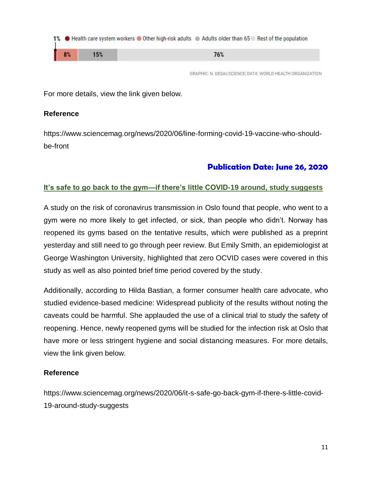

GRAPHIC: N. DESAI/SCIENCE; DATA: WORLD HEALTH ORGANIZATION

For more details, view the link given below.

### **Reference**

https://www.sciencemag.org/news/2020/06/line-forming-covid-19-vaccine-who-shouldbe-front

# **Publication Date: June 26, 2020**

### **It's safe to go back to the gym—if there's little COVID-19 around, study suggests**

A study on the risk of coronavirus transmission in Oslo found that people, who went to a gym were no more likely to get infected, or sick, than people who didn't. Norway has reopened its gyms based on the tentative results, which were published as a preprint yesterday and still need to go through peer review. But Emily Smith, an epidemiologist at George Washington University, highlighted that zero OCVID cases were covered in this study as well as also pointed brief time period covered by the study.

Additionally, according to Hilda Bastian, a former consumer health care advocate, who studied evidence-based medicine: Widespread publicity of the results without noting the caveats could be harmful. She applauded the use of a clinical trial to study the safety of reopening. Hence, newly reopened gyms will be studied for the infection risk at Oslo that have more or less stringent hygiene and social distancing measures. For more details, view the link given below.

### **Reference**

https://www.sciencemag.org/news/2020/06/it-s-safe-go-back-gym-if-there-s-little-covid-19-around-study-suggests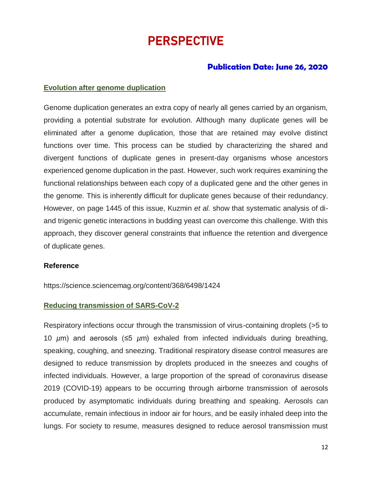# PERSPECTIVE

# **Publication Date: June 26, 2020**

#### **Evolution after genome duplication**

Genome duplication generates an extra copy of nearly all genes carried by an organism, providing a potential substrate for evolution. Although many duplicate genes will be eliminated after a genome duplication, those that are retained may evolve distinct functions over time. This process can be studied by characterizing the shared and divergent functions of duplicate genes in present-day organisms whose ancestors experienced genome duplication in the past. However, such work requires examining the functional relationships between each copy of a duplicated gene and the other genes in the genome. This is inherently difficult for duplicate genes because of their redundancy. However, on page 1445 of this issue, Kuzmin *et al.* show that systematic analysis of diand trigenic genetic interactions in budding yeast can overcome this challenge. With this approach, they discover general constraints that influence the retention and divergence of duplicate genes.

#### **Reference**

https://science.sciencemag.org/content/368/6498/1424

### **Reducing transmission of SARS-CoV-2**

Respiratory infections occur through the transmission of virus-containing droplets (>5 to 10 *µ*m) and aerosols (≤5 *µ*m) exhaled from infected individuals during breathing, speaking, coughing, and sneezing. Traditional respiratory disease control measures are designed to reduce transmission by droplets produced in the sneezes and coughs of infected individuals. However, a large proportion of the spread of coronavirus disease 2019 (COVID-19) appears to be occurring through airborne transmission of aerosols produced by asymptomatic individuals during breathing and speaking. Aerosols can accumulate, remain infectious in indoor air for hours, and be easily inhaled deep into the lungs. For society to resume, measures designed to reduce aerosol transmission must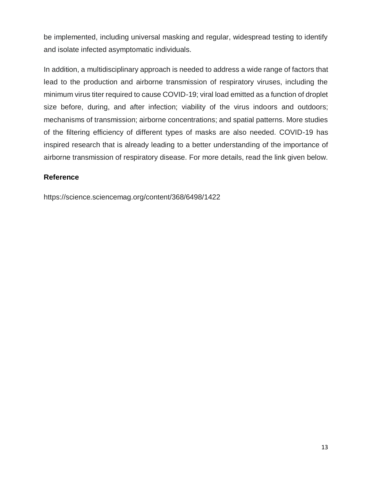be implemented, including universal masking and regular, widespread testing to identify and isolate infected asymptomatic individuals.

In addition, a multidisciplinary approach is needed to address a wide range of factors that lead to the production and airborne transmission of respiratory viruses, including the minimum virus titer required to cause COVID-19; viral load emitted as a function of droplet size before, during, and after infection; viability of the virus indoors and outdoors; mechanisms of transmission; airborne concentrations; and spatial patterns. More studies of the filtering efficiency of different types of masks are also needed. COVID-19 has inspired research that is already leading to a better understanding of the importance of airborne transmission of respiratory disease. For more details, read the link given below.

# **Reference**

https://science.sciencemag.org/content/368/6498/1422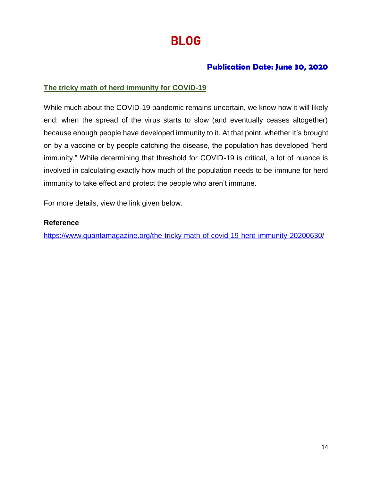# BLOG

# **Publication Date: June 30, 2020**

# **The tricky math of herd immunity for COVID-19**

While much about the COVID-19 pandemic remains uncertain, we know how it will likely end: when the spread of the virus starts to slow (and eventually ceases altogether) because enough people have developed immunity to it. At that point, whether it's brought on by a vaccine or by people catching the disease, the population has developed "herd immunity." While determining that threshold for COVID-19 is critical, a lot of nuance is involved in calculating exactly how much of the population needs to be immune for herd immunity to take effect and protect the people who aren't immune.

For more details, view the link given below.

## **Reference**

<https://www.quantamagazine.org/the-tricky-math-of-covid-19-herd-immunity-20200630/>